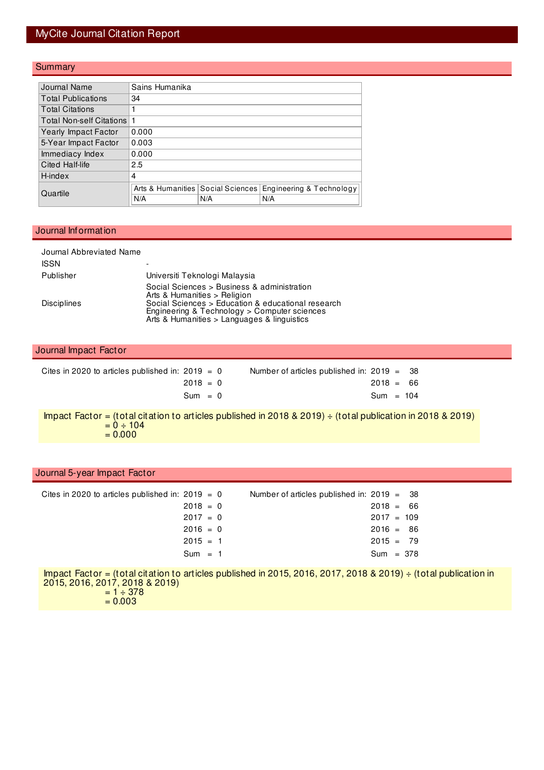### MyCite Journal Citation Report

#### **Summary**

| Journal Name              | Sains Humanika                      |     |                          |  |  |  |  |  |  |
|---------------------------|-------------------------------------|-----|--------------------------|--|--|--|--|--|--|
| <b>Total Publications</b> | 34                                  |     |                          |  |  |  |  |  |  |
| <b>Total Citations</b>    |                                     |     |                          |  |  |  |  |  |  |
| Total Non-self Citations  |                                     |     |                          |  |  |  |  |  |  |
| Yearly Impact Factor      | 0.000                               |     |                          |  |  |  |  |  |  |
| 5-Year Impact Factor      | 0.003                               |     |                          |  |  |  |  |  |  |
| Immediacy Index           | 0.000                               |     |                          |  |  |  |  |  |  |
| Cited Half-life           | 2.5                                 |     |                          |  |  |  |  |  |  |
| H-index                   | 4                                   |     |                          |  |  |  |  |  |  |
| Quartile                  | Arts & Humanities   Social Sciences |     | Engineering & Technology |  |  |  |  |  |  |
|                           | N/A                                 | N/A | N/A                      |  |  |  |  |  |  |

#### Journal Information

l

 $= 0.003$ 

| Journal Abbreviated Name<br><b>ISSN</b> |                                                                                                                                                                            |                                                                       |  |
|-----------------------------------------|----------------------------------------------------------------------------------------------------------------------------------------------------------------------------|-----------------------------------------------------------------------|--|
| Publisher                               | Universiti Teknologi Malaysia                                                                                                                                              |                                                                       |  |
| <b>Disciplines</b>                      | Social Sciences > Business & administration<br>Arts & Humanities > Religion<br>Engineering & Technology > Computer sciences<br>Arts & Humanities > Languages & linguistics | Social Sciences > Education & educational research                    |  |
| Journal Impact Factor                   |                                                                                                                                                                            |                                                                       |  |
|                                         | Cites in 2020 to articles published in: $2019 = 0$<br>$2018 = 0$                                                                                                           | Number of articles published in: $2019 =$<br>-38<br>2018<br>66<br>$=$ |  |

Sum = 0 Sum = 104

Impact Factor = (total citation to articles published in 2018 & 2019) ÷ (total publication in 2018 & 2019)  $= 0 \div 104$  $= 0.000$ 

| Journal 5-year Impact Factor                                                                                            |                                                                                                                          |
|-------------------------------------------------------------------------------------------------------------------------|--------------------------------------------------------------------------------------------------------------------------|
| Cites in 2020 to articles published in: $2019 = 0$<br>$2018 = 0$<br>$2017 = 0$<br>$2016 = 0$<br>$2015 = 1$<br>$Sum = 1$ | Number of articles published in: $2019 = 38$<br>$2018 = 66$<br>$2017 = 109$<br>$2016 = 86$<br>$2015 = 79$<br>$Sum = 378$ |
| 2015, 2016, 2017, 2018 & 2019)<br>$= 1 \div 378$                                                                        | Impact Factor = (total citation to articles published in 2015, 2016, 2017, 2018 & 2019) $\div$ (total publication in     |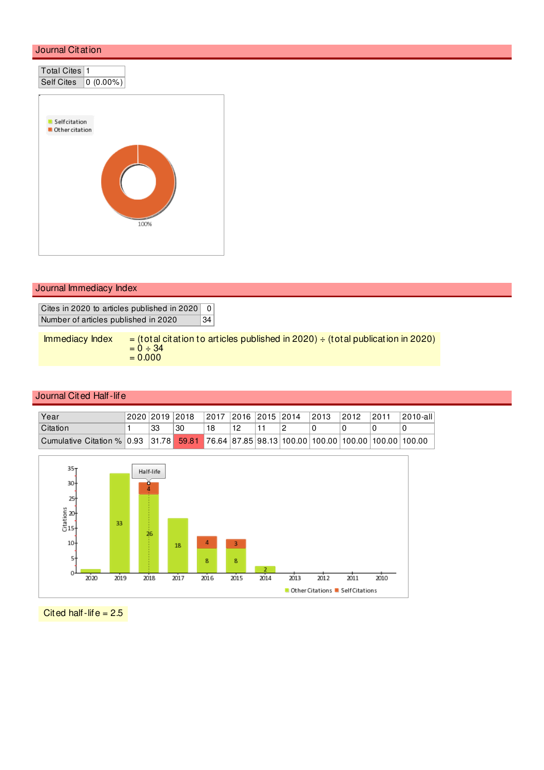

|  | Journal Immediacy Index |  |  |
|--|-------------------------|--|--|
|--|-------------------------|--|--|

Cites in 2020 to articles published in 2020 0 Number of articles published in 2020 34

| Immediacy Index | $=$ (total citation to articles published in 2020) $\div$ (total publication in 2020) |
|-----------------|---------------------------------------------------------------------------------------|
|                 | $= 0 - 34$                                                                            |
|                 | $= 0.000$                                                                             |

### Journal Cited Half-life

| Year                                                                                        | 2020 2019 2018 |    | 2017  2016  2015   2014 |    |  | 2013 | 2012 | 2011 | ⊺2010-all |
|---------------------------------------------------------------------------------------------|----------------|----|-------------------------|----|--|------|------|------|-----------|
| Citation                                                                                    | 33             | 30 |                         | 12 |  |      |      |      |           |
| Cumulative Citation % 0.93 31.78 59.81 76.64 87.85 98.13 100.00 100.00 100.00 100.00 100.00 |                |    |                         |    |  |      |      |      |           |



Cited half-life  $= 2.5$